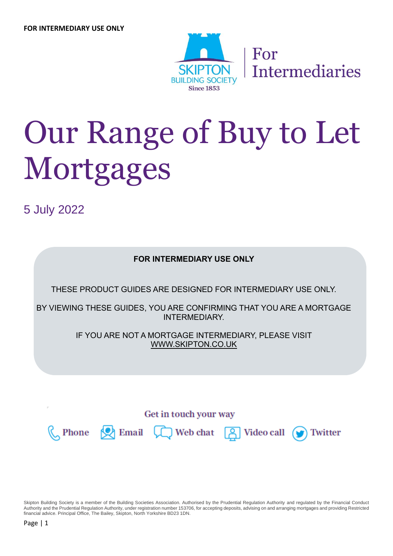

# Our Range of Buy to Let Mortgages

5 July 2022



Skipton Building Society is a member of the Building Societies Association. Authorised by the Prudential Regulation Authority and regulated by the Financial Conduct Authority and the Prudential Regulation Authority, under registration number 153706, for accepting deposits, advising on and arranging mortgages and providing Restricted financial advice. Principal Office, The Bailey, Skipton, North Yorkshire BD23 1DN.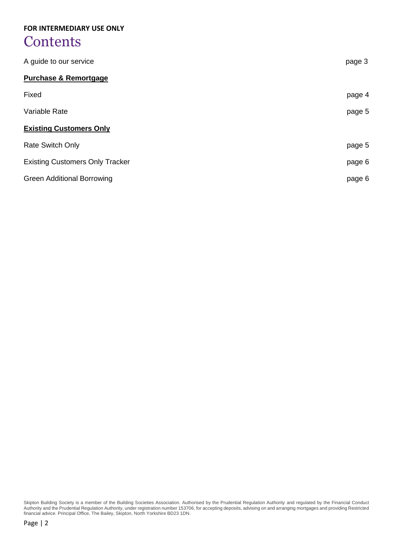## **Contents**

| A guide to our service                 | page 3 |
|----------------------------------------|--------|
| <b>Purchase &amp; Remortgage</b>       |        |
| Fixed                                  | page 4 |
| Variable Rate                          | page 5 |
| <b>Existing Customers Only</b>         |        |
| <b>Rate Switch Only</b>                | page 5 |
| <b>Existing Customers Only Tracker</b> | page 6 |
| <b>Green Additional Borrowing</b>      | page 6 |

Skipton Building Society is a member of the Building Societies Association. Authorised by the Prudential Regulation Authority and regulated by the Financial Conduct Authority and the Prudential Regulation Authority, under registration number 153706, for accepting deposits, advising on and arranging mortgages and providing Restricted financial advice. Principal Office, The Bailey, Skipton, North Yorkshire BD23 1DN.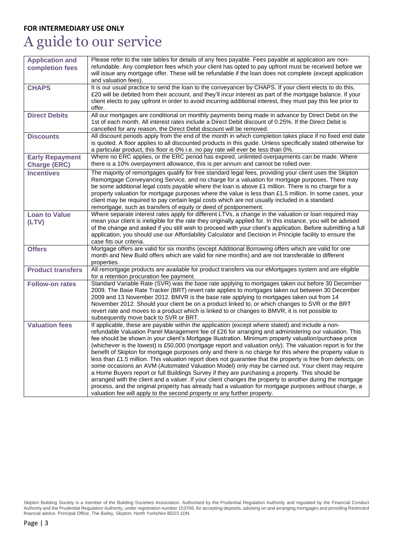## A guide to our service

| <b>Application and</b><br>completion fees     | Please refer to the rate tables for details of any fees payable. Fees payable at application are non-<br>refundable. Any completion fees which your client has opted to pay upfront must be received before we<br>will issue any mortgage offer. These will be refundable if the loan does not complete (except application<br>and valuation fees).                                                                                                                                                                                                                                                                                                                                                                                                                                                                                                                                                                                                                                                                                                                                                                                                                     |
|-----------------------------------------------|-------------------------------------------------------------------------------------------------------------------------------------------------------------------------------------------------------------------------------------------------------------------------------------------------------------------------------------------------------------------------------------------------------------------------------------------------------------------------------------------------------------------------------------------------------------------------------------------------------------------------------------------------------------------------------------------------------------------------------------------------------------------------------------------------------------------------------------------------------------------------------------------------------------------------------------------------------------------------------------------------------------------------------------------------------------------------------------------------------------------------------------------------------------------------|
| <b>CHAPS</b>                                  | It is our usual practice to send the loan to the conveyancer by CHAPS. If your client elects to do this,<br>£20 will be debited from their account, and they'll incur interest as part of the mortgage balance. If your<br>client elects to pay upfront in order to avoid incurring additional interest, they must pay this fee prior to<br>offer.                                                                                                                                                                                                                                                                                                                                                                                                                                                                                                                                                                                                                                                                                                                                                                                                                      |
| <b>Direct Debits</b>                          | All our mortgages are conditional on monthly payments being made in advance by Direct Debit on the<br>1st of each month. All interest rates include a Direct Debit discount of 0.25%. If the Direct Debit is<br>cancelled for any reason, the Direct Debit discount will be removed.                                                                                                                                                                                                                                                                                                                                                                                                                                                                                                                                                                                                                                                                                                                                                                                                                                                                                    |
| <b>Discounts</b>                              | All discount periods apply from the end of the month in which completion takes place if no fixed end date<br>is quoted. A floor applies to all discounted products in this guide. Unless specifically stated otherwise for<br>a particular product, this floor is 0% i.e. no pay rate will ever be less than 0%.                                                                                                                                                                                                                                                                                                                                                                                                                                                                                                                                                                                                                                                                                                                                                                                                                                                        |
| <b>Early Repayment</b><br><b>Charge (ERC)</b> | Where no ERC applies, or the ERC period has expired, unlimited overpayments can be made. Where<br>there is a 10% overpayment allowance, this is per annum and cannot be rolled over.                                                                                                                                                                                                                                                                                                                                                                                                                                                                                                                                                                                                                                                                                                                                                                                                                                                                                                                                                                                    |
| <b>Incentives</b>                             | The majority of remortgages qualify for free standard legal fees, providing your client uses the Skipton<br>Remortgage Conveyancing Service, and no charge for a valuation for mortgage purposes. There may<br>be some additional legal costs payable where the loan is above £1 million. There is no charge for a<br>property valuation for mortgage purposes where the value is less than £1.5 million. In some cases, your<br>client may be required to pay certain legal costs which are not usually included in a standard<br>remortgage, such as transfers of equity or deed of postponement.                                                                                                                                                                                                                                                                                                                                                                                                                                                                                                                                                                     |
| <b>Loan to Value</b><br>(LTV)                 | Where separate interest rates apply for different LTVs, a change in the valuation or loan required may<br>mean your client is ineligible for the rate they originally applied for. In this instance, you will be advised<br>of the change and asked if you still wish to proceed with your client's application. Before submitting a full<br>application, you should use our Affordability Calculator and Decision in Principle facility to ensure the<br>case fits our criteria.                                                                                                                                                                                                                                                                                                                                                                                                                                                                                                                                                                                                                                                                                       |
| <b>Offers</b>                                 | Mortgage offers are valid for six months (except Additional Borrowing offers which are valid for one<br>month and New Build offers which are valid for nine months) and are not transferable to different<br>properties.                                                                                                                                                                                                                                                                                                                                                                                                                                                                                                                                                                                                                                                                                                                                                                                                                                                                                                                                                |
| <b>Product transfers</b>                      | All remortgage products are available for product transfers via our eMortgages system and are eligible<br>for a retention procuration fee payment.                                                                                                                                                                                                                                                                                                                                                                                                                                                                                                                                                                                                                                                                                                                                                                                                                                                                                                                                                                                                                      |
| <b>Follow-on rates</b>                        | Standard Variable Rate (SVR) was the base rate applying to mortgages taken out before 30 December<br>2009. The Base Rate Tracker (BRT) revert rate applies to mortgages taken out between 30 December<br>2009 and 13 November 2012. BMVR is the base rate applying to mortgages taken out from 14<br>November 2012. Should your client be on a product linked to, or which changes to SVR or the BRT<br>revert rate and moves to a product which is linked to or changes to BMVR, it is not possible to<br>subsequently move back to SVR or BRT.                                                                                                                                                                                                                                                                                                                                                                                                                                                                                                                                                                                                                        |
| <b>Valuation fees</b>                         | If applicable, these are payable within the application (except where stated) and include a non-<br>refundable Valuation Panel Management fee of £26 for arranging and administering our valuation. This<br>fee should be shown in your client's Mortgage Illustration. Minimum property valuation/purchase price<br>(whichever is the lowest) is £50,000 (mortgage report and valuation only). The valuation report is for the<br>benefit of Skipton for mortgage purposes only and there is no charge for this where the property value is<br>less than £1.5 million. This valuation report does not guarantee that the property is free from defects; on<br>some occasions an AVM (Automated Valuation Model) only may be carried out. Your client may require<br>a Home Buyers report or full Buildings Survey if they are purchasing a property. This should be<br>arranged with the client and a valuer. If your client changes the property to another during the mortgage<br>process, and the original property has already had a valuation for mortgage purposes without charge, a<br>valuation fee will apply to the second property or any further property. |

Skipton Building Society is a member of the Building Societies Association. Authorised by the Prudential Regulation Authority and regulated by the Financial Conduct Authority and the Prudential Regulation Authority, under registration number 153706, for accepting deposits, advising on and arranging mortgages and providing Restricted financial advice. Principal Office, The Bailey, Skipton, North Yorkshire BD23 1DN.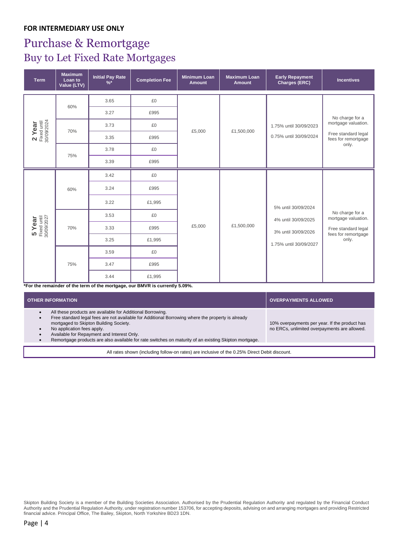## Purchase & Remortgage Buy to Let Fixed Rate Mortgages

| <b>Term</b>                           | <b>Maximum</b><br>Loan to<br>Value (LTV) | <b>Initial Pay Rate</b><br>$\frac{9}{6}$ * | <b>Completion Fee</b> | <b>Minimum Loan</b><br><b>Amount</b> | <b>Maximum Loan</b><br><b>Amount</b> | <b>Early Repayment</b><br>Charges (ERC)                              | <b>Incentives</b>                                                                             |
|---------------------------------------|------------------------------------------|--------------------------------------------|-----------------------|--------------------------------------|--------------------------------------|----------------------------------------------------------------------|-----------------------------------------------------------------------------------------------|
| 2 Year<br>Fixed until<br>30/09/2024   | 60%                                      | 3.65<br>3.27                               | £0<br>£995            |                                      |                                      |                                                                      |                                                                                               |
|                                       | 70%                                      | 3.73<br>3.35                               | £0<br>£995            | £5,000                               | £1,500,000                           | 1.75% until 30/09/2023<br>0.75% until 30/09/2024                     | No charge for a<br>mortgage valuation.<br>Free standard legal                                 |
|                                       | 75%                                      | 3.78<br>3.39                               | £0<br>£995            |                                      |                                      |                                                                      | fees for remortgage<br>only.                                                                  |
| $5$ Year<br>Fixed until<br>30/09/2027 | 60%                                      | 3.42<br>3.24<br>3.22                       | £0<br>£995<br>£1,995  | £5,000                               | £1,500,000                           | 5% until 30/09/2024                                                  |                                                                                               |
|                                       | 70%                                      | 3.53<br>3.33<br>3.25                       | £0<br>£995<br>£1,995  |                                      |                                      | 4% until 30/09/2025<br>3% until 30/09/2026<br>1.75% until 30/09/2027 | No charge for a<br>mortgage valuation.<br>Free standard legal<br>fees for remortgage<br>only. |
|                                       | 75%                                      | 3.59<br>3.47<br>3.44                       | £0<br>£995<br>£1,995  |                                      |                                      |                                                                      |                                                                                               |

**\*For the remainder of the term of the mortgage, our BMVR is currently 5.09%.**

| <b>OTHER INFORMATION</b>                                                                                                                                                                                                                                                                                                                                                                       | <b>OVERPAYMENTS ALLOWED</b>                                                                   |  |  |  |  |  |
|------------------------------------------------------------------------------------------------------------------------------------------------------------------------------------------------------------------------------------------------------------------------------------------------------------------------------------------------------------------------------------------------|-----------------------------------------------------------------------------------------------|--|--|--|--|--|
| All these products are available for Additional Borrowing.<br>Free standard legal fees are not available for Additional Borrowing where the property is already<br>mortgaged to Skipton Building Society.<br>No application fees apply.<br>Available for Repayment and Interest Only.<br>Remortgage products are also available for rate switches on maturity of an existing Skipton mortgage. | 10% overpayments per year. If the product has<br>no ERCs, unlimited overpayments are allowed. |  |  |  |  |  |
| All rates shown (including follow-on rates) are inclusive of the 0.25% Direct Debit discount.                                                                                                                                                                                                                                                                                                  |                                                                                               |  |  |  |  |  |

Skipton Building Society is a member of the Building Societies Association. Authorised by the Prudential Regulation Authority and regulated by the Financial Conduct Authority and the Prudential Regulation Authority, under registration number 153706, for accepting deposits, advising on and arranging mortgages and providing Restricted financial advice. Principal Office, The Bailey, Skipton, North Yorkshire BD23 1DN.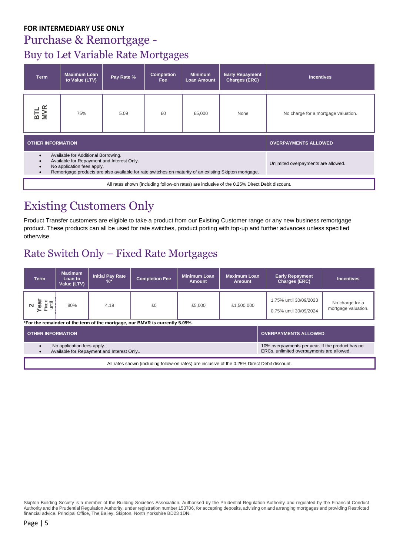## Purchase & Remortgage - Buy to Let Variable Rate Mortgages

| <b>Term</b>                                      | <b>Maximum Loan</b><br>to Value (LTV)                                                                                                                                                                                    | Pay Rate %                          | <b>Completion</b><br>Fee | <b>Minimum</b><br><b>Loan Amount</b> | <b>Early Repayment</b><br>Charges (ERC) | <b>Incentives</b>                   |
|--------------------------------------------------|--------------------------------------------------------------------------------------------------------------------------------------------------------------------------------------------------------------------------|-------------------------------------|--------------------------|--------------------------------------|-----------------------------------------|-------------------------------------|
| <b>BTL</b><br>MVR                                | 75%                                                                                                                                                                                                                      | 5.09                                | £0                       | £5,000                               | None                                    | No charge for a mortgage valuation. |
| <b>OTHER INFORMATION</b>                         |                                                                                                                                                                                                                          | <b>OVERPAYMENTS ALLOWED</b>         |                          |                                      |                                         |                                     |
| $\bullet$<br>$\bullet$<br>$\bullet$<br>$\bullet$ | Available for Additional Borrowing.<br>Available for Repayment and Interest Only.<br>No application fees apply.<br>Remortgage products are also available for rate switches on maturity of an existing Skipton mortgage. | Unlimited overpayments are allowed. |                          |                                      |                                         |                                     |

All rates shown (including follow-on rates) are inclusive of the 0.25% Direct Debit discount.

## Existing Customers Only

Product Transfer customers are eligible to take a product from our Existing Customer range or any new business remortgage product. These products can all be used for rate switches, product porting with top-up and further advances unless specified otherwise.

### Rate Switch Only – Fixed Rate Mortgages

| <b>Term</b>                                                                                                                                                              | <b>Maximum</b><br>Loan to<br>Value (LTV) | <b>Initial Pay Rate</b><br>% | <b>Completion Fee</b> | <b>Minimum Loan</b><br><b>Amount</b> | <b>Maximum Loan</b><br><b>Amount</b> | <b>Early Repayment</b><br>Charges (ERC)          | <b>Incentives</b>                      |
|--------------------------------------------------------------------------------------------------------------------------------------------------------------------------|------------------------------------------|------------------------------|-----------------------|--------------------------------------|--------------------------------------|--------------------------------------------------|----------------------------------------|
| <b>ear</b><br>Fixed<br>until                                                                                                                                             | 80%                                      | 4.19                         | £0                    | £5,000                               | £1,500,000                           | 1.75% until 30/09/2023<br>0.75% until 30/09/2024 | No charge for a<br>mortgage valuation. |
| *For the remainder of the term of the mortgage, our BMVR is currently 5.09%.                                                                                             |                                          |                              |                       |                                      |                                      |                                                  |                                        |
| <b>OVERPAYMENTS ALLOWED</b><br><b>OTHER INFORMATION</b>                                                                                                                  |                                          |                              |                       |                                      |                                      |                                                  |                                        |
| 10% overpayments per year. If the product has no<br>No application fees apply.<br>ERCs, unlimited overpayments are allowed.<br>Available for Repayment and Interest Only |                                          |                              |                       |                                      |                                      |                                                  |                                        |

All rates shown (including follow-on rates) are inclusive of the 0.25% Direct Debit discount.

Skipton Building Society is a member of the Building Societies Association. Authorised by the Prudential Regulation Authority and regulated by the Financial Conduct Authority and the Prudential Regulation Authority, under registration number 153706, for accepting deposits, advising on and arranging mortgages and providing Restricted financial advice. Principal Office, The Bailey, Skipton, North Yorkshire BD23 1DN.